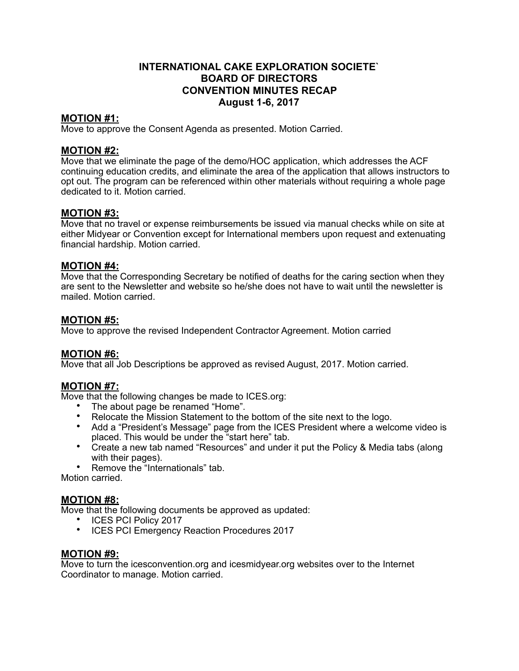# **INTERNATIONAL CAKE EXPLORATION SOCIETE` BOARD OF DIRECTORS CONVENTION MINUTES RECAP August 1-6, 2017**

## **MOTION #1:**

Move to approve the Consent Agenda as presented. Motion Carried.

## **MOTION #2:**

Move that we eliminate the page of the demo/HOC application, which addresses the ACF continuing education credits, and eliminate the area of the application that allows instructors to opt out. The program can be referenced within other materials without requiring a whole page dedicated to it. Motion carried.

## **MOTION #3:**

Move that no travel or expense reimbursements be issued via manual checks while on site at either Midyear or Convention except for International members upon request and extenuating financial hardship. Motion carried.

## **MOTION #4:**

Move that the Corresponding Secretary be notified of deaths for the caring section when they are sent to the Newsletter and website so he/she does not have to wait until the newsletter is mailed. Motion carried.

## **MOTION #5:**

Move to approve the revised Independent Contractor Agreement. Motion carried

## **MOTION #6:**

Move that all Job Descriptions be approved as revised August, 2017. Motion carried.

# **MOTION #7:**

Move that the following changes be made to ICES.org:

- The about page be renamed "Home".
- Relocate the Mission Statement to the bottom of the site next to the logo.
- Add a "President's Message" page from the ICES President where a welcome video is placed. This would be under the "start here" tab.
- Create a new tab named "Resources" and under it put the Policy & Media tabs (along with their pages).
- Remove the "Internationals" tab.

Motion carried.

## **MOTION #8:**

Move that the following documents be approved as updated:

- ICES PCI Policy 2017
- ICES PCI Emergency Reaction Procedures 2017

## **MOTION #9:**

Move to turn the icesconvention.org and icesmidyear.org websites over to the Internet Coordinator to manage. Motion carried.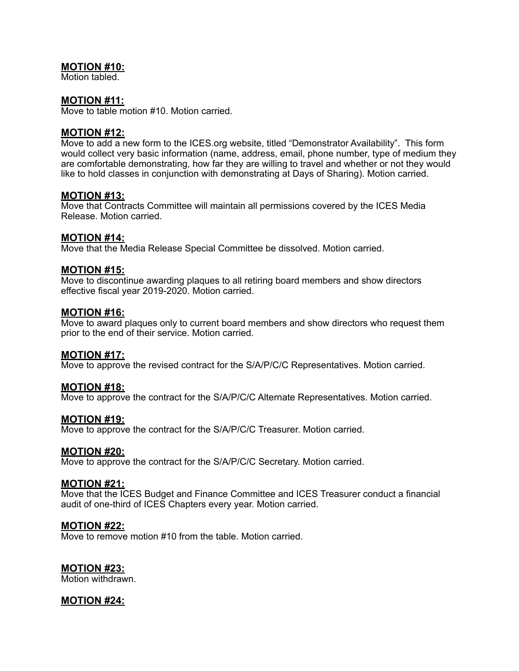## **MOTION #10:**

Motion tabled.

#### **MOTION #11:**

Move to table motion #10. Motion carried.

### **MOTION #12:**

Move to add a new form to the ICES.org website, titled "Demonstrator Availability". This form would collect very basic information (name, address, email, phone number, type of medium they are comfortable demonstrating, how far they are willing to travel and whether or not they would like to hold classes in conjunction with demonstrating at Days of Sharing). Motion carried.

### **MOTION #13:**

Move that Contracts Committee will maintain all permissions covered by the ICES Media Release. Motion carried.

### **MOTION #14:**

Move that the Media Release Special Committee be dissolved. Motion carried.

### **MOTION #15:**

Move to discontinue awarding plaques to all retiring board members and show directors effective fiscal year 2019-2020. Motion carried.

#### **MOTION #16:**

Move to award plaques only to current board members and show directors who request them prior to the end of their service. Motion carried.

#### **MOTION #17:**

Move to approve the revised contract for the S/A/P/C/C Representatives. Motion carried.

#### **MOTION #18:**

Move to approve the contract for the S/A/P/C/C Alternate Representatives. Motion carried.

#### **MOTION #19:**

Move to approve the contract for the S/A/P/C/C Treasurer. Motion carried.

#### **MOTION #20:**

Move to approve the contract for the S/A/P/C/C Secretary. Motion carried.

#### **MOTION #21:**

Move that the ICES Budget and Finance Committee and ICES Treasurer conduct a financial audit of one-third of ICES Chapters every year. Motion carried.

#### **MOTION #22:**

Move to remove motion #10 from the table. Motion carried.

#### **MOTION #23:**

Motion withdrawn.

## **MOTION #24:**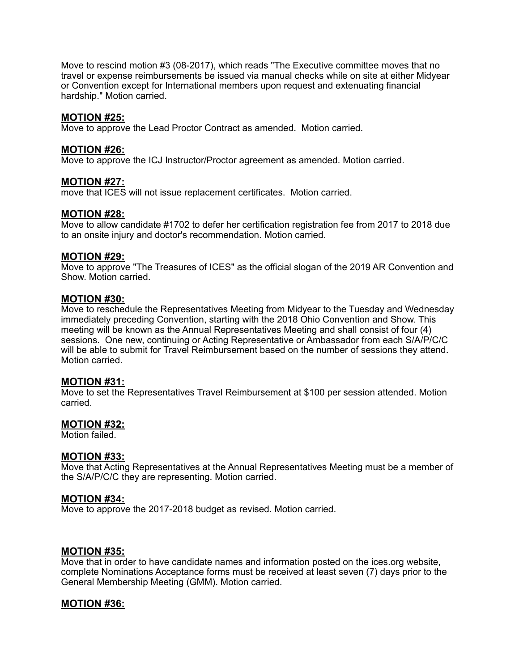Move to rescind motion #3 (08-2017), which reads "The Executive committee moves that no travel or expense reimbursements be issued via manual checks while on site at either Midyear or Convention except for International members upon request and extenuating financial hardship." Motion carried.

#### **MOTION #25:**

Move to approve the Lead Proctor Contract as amended. Motion carried.

#### **MOTION #26:**

Move to approve the ICJ Instructor/Proctor agreement as amended. Motion carried.

### **MOTION #27:**

move that ICES will not issue replacement certificates. Motion carried.

### **MOTION #28:**

Move to allow candidate #1702 to defer her certification registration fee from 2017 to 2018 due to an onsite injury and doctor's recommendation. Motion carried.

#### **MOTION #29:**

Move to approve "The Treasures of ICES" as the official slogan of the 2019 AR Convention and Show. Motion carried.

#### **MOTION #30:**

Move to reschedule the Representatives Meeting from Midyear to the Tuesday and Wednesday immediately preceding Convention, starting with the 2018 Ohio Convention and Show. This meeting will be known as the Annual Representatives Meeting and shall consist of four (4) sessions. One new, continuing or Acting Representative or Ambassador from each S/A/P/C/C will be able to submit for Travel Reimbursement based on the number of sessions they attend. Motion carried.

## **MOTION #31:**

Move to set the Representatives Travel Reimbursement at \$100 per session attended. Motion carried.

#### **MOTION #32:**

Motion failed.

#### **MOTION #33:**

Move that Acting Representatives at the Annual Representatives Meeting must be a member of the S/A/P/C/C they are representing. Motion carried.

#### **MOTION #34:**

Move to approve the 2017-2018 budget as revised. Motion carried.

#### **MOTION #35:**

Move that in order to have candidate names and information posted on the ices.org website, complete Nominations Acceptance forms must be received at least seven (7) days prior to the General Membership Meeting (GMM). Motion carried.

## **MOTION #36:**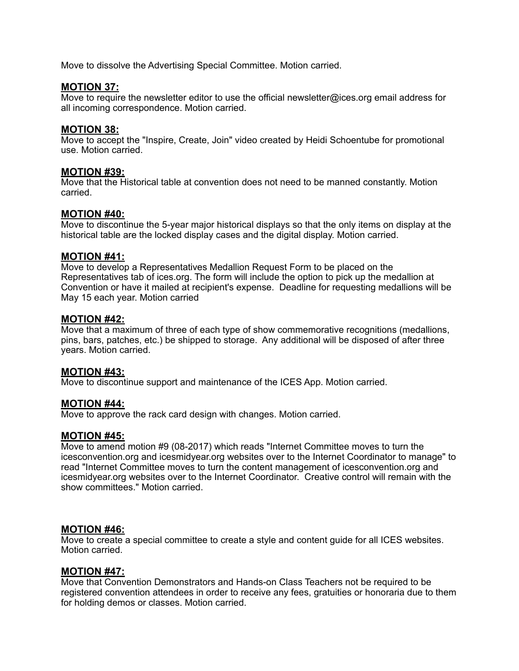Move to dissolve the Advertising Special Committee. Motion carried.

## **MOTION 37:**

Move to require the newsletter editor to use the official newsletter@ices.org email address for all incoming correspondence. Motion carried.

### **MOTION 38:**

Move to accept the "Inspire, Create, Join" video created by Heidi Schoentube for promotional use. Motion carried.

## **MOTION #39:**

Move that the Historical table at convention does not need to be manned constantly. Motion carried.

### **MOTION #40:**

Move to discontinue the 5-year major historical displays so that the only items on display at the historical table are the locked display cases and the digital display. Motion carried.

### **MOTION #41:**

Move to develop a Representatives Medallion Request Form to be placed on the Representatives tab of ices.org. The form will include the option to pick up the medallion at Convention or have it mailed at recipient's expense. Deadline for requesting medallions will be May 15 each year. Motion carried

### **MOTION #42:**

Move that a maximum of three of each type of show commemorative recognitions (medallions, pins, bars, patches, etc.) be shipped to storage. Any additional will be disposed of after three years. Motion carried.

## **MOTION #43:**

Move to discontinue support and maintenance of the ICES App. Motion carried.

#### **MOTION #44:**

Move to approve the rack card design with changes. Motion carried.

#### **MOTION #45:**

Move to amend motion #9 (08-2017) which reads "Internet Committee moves to turn the icesconvention.org and icesmidyear.org websites over to the Internet Coordinator to manage" to read "Internet Committee moves to turn the content management of icesconvention.org and icesmidyear.org websites over to the Internet Coordinator. Creative control will remain with the show committees." Motion carried.

#### **MOTION #46:**

Move to create a special committee to create a style and content guide for all ICES websites. Motion carried.

#### **MOTION #47:**

Move that Convention Demonstrators and Hands-on Class Teachers not be required to be registered convention attendees in order to receive any fees, gratuities or honoraria due to them for holding demos or classes. Motion carried.